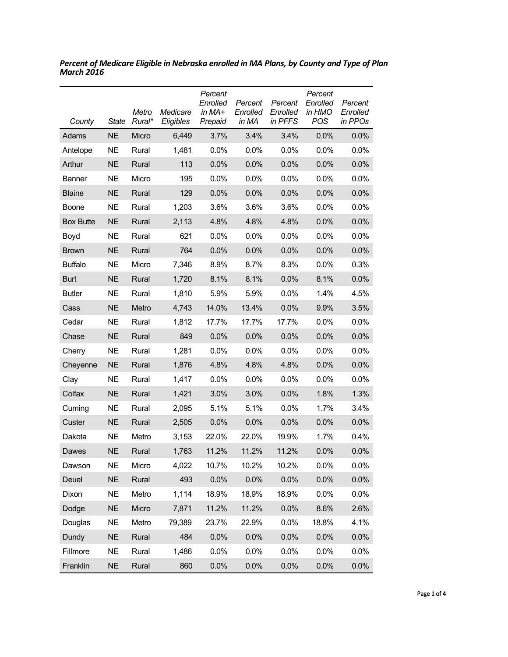| County           | <b>State</b> | Metro<br>Rural* | Medicare<br>Eligibles | Percent<br>Enrolled<br>in MA+<br>Prepaid | Percent<br>Enrolled<br>in MA | Percent<br>Enrolled<br>in PFFS | Percent<br>Enrolled<br>in HMO<br><b>POS</b> | Percent<br>Enrolled<br>in PPOs |
|------------------|--------------|-----------------|-----------------------|------------------------------------------|------------------------------|--------------------------------|---------------------------------------------|--------------------------------|
| Adams            | <b>NE</b>    | Micro           | 6,449                 | 3.7%                                     | 3.4%                         | 3.4%                           | 0.0%                                        | 0.0%                           |
| Antelope         | <b>NE</b>    | Rural           | 1,481                 | 0.0%                                     | 0.0%                         | 0.0%                           | 0.0%                                        | 0.0%                           |
| Arthur           | <b>NE</b>    | Rural           | 113                   | 0.0%                                     | 0.0%                         | 0.0%                           | 0.0%                                        | 0.0%                           |
| <b>Banner</b>    | <b>NE</b>    | Micro           | 195                   | 0.0%                                     | 0.0%                         | 0.0%                           | 0.0%                                        | 0.0%                           |
| <b>Blaine</b>    | <b>NE</b>    | Rural           | 129                   | 0.0%                                     | 0.0%                         | 0.0%                           | 0.0%                                        | 0.0%                           |
| <b>Boone</b>     | NE           | Rural           | 1,203                 | 3.6%                                     | 3.6%                         | 3.6%                           | 0.0%                                        | 0.0%                           |
| <b>Box Butte</b> | <b>NE</b>    | Rural           | 2,113                 | 4.8%                                     | 4.8%                         | 4.8%                           | 0.0%                                        | 0.0%                           |
| Boyd             | <b>NE</b>    | Rural           | 621                   | 0.0%                                     | $0.0\%$                      | $0.0\%$                        | 0.0%                                        | 0.0%                           |
| <b>Brown</b>     | <b>NE</b>    | Rural           | 764                   | 0.0%                                     | 0.0%                         | 0.0%                           | 0.0%                                        | 0.0%                           |
| <b>Buffalo</b>   | <b>NE</b>    | Micro           | 7,346                 | 8.9%                                     | 8.7%                         | 8.3%                           | 0.0%                                        | 0.3%                           |
| <b>Burt</b>      | <b>NE</b>    | Rural           | 1,720                 | 8.1%                                     | 8.1%                         | 0.0%                           | 8.1%                                        | 0.0%                           |
| <b>Butler</b>    | <b>NE</b>    | Rural           | 1,810                 | 5.9%                                     | 5.9%                         | 0.0%                           | 1.4%                                        | 4.5%                           |
| Cass             | <b>NE</b>    | Metro           | 4,743                 | 14.0%                                    | 13.4%                        | 0.0%                           | 9.9%                                        | 3.5%                           |
| Cedar            | <b>NE</b>    | Rural           | 1,812                 | 17.7%                                    | 17.7%                        | 17.7%                          | 0.0%                                        | 0.0%                           |
| Chase            | <b>NE</b>    | Rural           | 849                   | 0.0%                                     | 0.0%                         | 0.0%                           | 0.0%                                        | 0.0%                           |
| Cherry           | <b>NE</b>    | Rural           | 1,281                 | 0.0%                                     | $0.0\%$                      | 0.0%                           | 0.0%                                        | $0.0\%$                        |
| Cheyenne         | <b>NE</b>    | Rural           | 1,876                 | 4.8%                                     | 4.8%                         | 4.8%                           | 0.0%                                        | 0.0%                           |
| Clay             | <b>NE</b>    | Rural           | 1,417                 | 0.0%                                     | $0.0\%$                      | $0.0\%$                        | 0.0%                                        | $0.0\%$                        |
| Colfax           | <b>NE</b>    | Rural           | 1,421                 | 3.0%                                     | 3.0%                         | 0.0%                           | 1.8%                                        | 1.3%                           |
| Cuming           | <b>NE</b>    | Rural           | 2,095                 | 5.1%                                     | 5.1%                         | $0.0\%$                        | 1.7%                                        | 3.4%                           |
| Custer           | <b>NE</b>    | Rural           | 2,505                 | 0.0%                                     | 0.0%                         | 0.0%                           | 0.0%                                        | 0.0%                           |
| Dakota           | <b>NE</b>    | Metro           | 3,153                 | 22.0%                                    | 22.0%                        | 19.9%                          | 1.7%                                        | 0.4%                           |
| Dawes            | <b>NE</b>    | Rural           | 1,763                 | 11.2%                                    | 11.2%                        | 11.2%                          | 0.0%                                        | 0.0%                           |
| Dawson           | <b>NE</b>    | Micro           | 4,022                 | 10.7%                                    | 10.2%                        | 10.2%                          | 0.0%                                        | 0.0%                           |
| Deuel            | <b>NE</b>    | Rural           | 493                   | 0.0%                                     | 0.0%                         | 0.0%                           | 0.0%                                        | 0.0%                           |
| Dixon            | <b>NE</b>    | Metro           | 1,114                 | 18.9%                                    | 18.9%                        | 18.9%                          | 0.0%                                        | $0.0\%$                        |
| Dodge            | <b>NE</b>    | Micro           | 7,871                 | 11.2%                                    | 11.2%                        | 0.0%                           | 8.6%                                        | 2.6%                           |
| Douglas          | <b>NE</b>    | Metro           | 79,389                | 23.7%                                    | 22.9%                        | 0.0%                           | 18.8%                                       | 4.1%                           |
| Dundy            | <b>NE</b>    | Rural           | 484                   | 0.0%                                     | 0.0%                         | 0.0%                           | 0.0%                                        | 0.0%                           |
| Fillmore         | <b>NE</b>    | Rural           | 1,486                 | 0.0%                                     | 0.0%                         | 0.0%                           | 0.0%                                        | 0.0%                           |
| Franklin         | <b>NE</b>    | Rural           | 860                   | 0.0%                                     | 0.0%                         | 0.0%                           | 0.0%                                        | 0.0%                           |

*Percent of Medicare Eligible in Nebraska enrolled in MA Plans, by County and Type of Plan March 2016*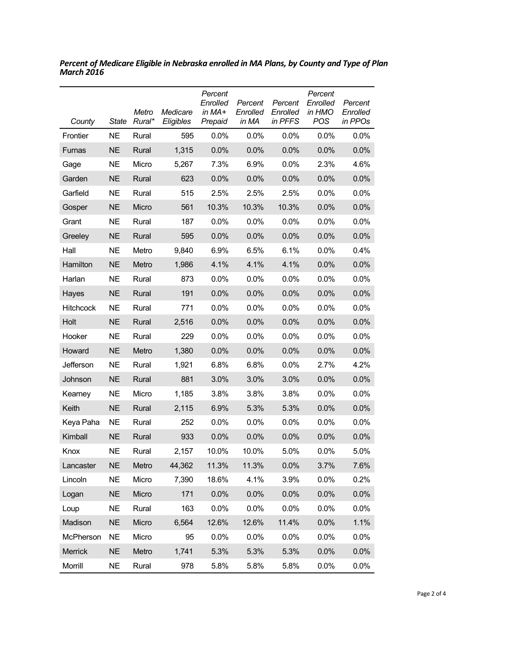| County           | State     | Metro<br>Rural* | Medicare<br>Eligibles | Percent<br>Enrolled<br>in MA+<br>Prepaid | Percent<br>Enrolled<br>in MA | Percent<br>Enrolled<br>in PFFS | Percent<br>Enrolled<br>in HMO<br>POS | Percent<br>Enrolled<br>in PPOs |
|------------------|-----------|-----------------|-----------------------|------------------------------------------|------------------------------|--------------------------------|--------------------------------------|--------------------------------|
| Frontier         | <b>NE</b> | Rural           | 595                   | 0.0%                                     | $0.0\%$                      | $0.0\%$                        | 0.0%                                 | 0.0%                           |
| <b>Furnas</b>    | <b>NE</b> | Rural           | 1,315                 | 0.0%                                     | 0.0%                         | 0.0%                           | 0.0%                                 | 0.0%                           |
| Gage             | <b>NE</b> | Micro           | 5,267                 | 7.3%                                     | 6.9%                         | 0.0%                           | 2.3%                                 | 4.6%                           |
| Garden           | <b>NE</b> | Rural           | 623                   | 0.0%                                     | 0.0%                         | 0.0%                           | 0.0%                                 | 0.0%                           |
| Garfield         | <b>NE</b> | Rural           | 515                   | 2.5%                                     | 2.5%                         | 2.5%                           | 0.0%                                 | 0.0%                           |
| Gosper           | <b>NE</b> | Micro           | 561                   | 10.3%                                    | 10.3%                        | 10.3%                          | 0.0%                                 | 0.0%                           |
| Grant            | <b>NE</b> | Rural           | 187                   | 0.0%                                     | 0.0%                         | 0.0%                           | 0.0%                                 | 0.0%                           |
| Greeley          | <b>NE</b> | Rural           | 595                   | 0.0%                                     | 0.0%                         | 0.0%                           | 0.0%                                 | 0.0%                           |
| Hall             | <b>NE</b> | Metro           | 9,840                 | 6.9%                                     | 6.5%                         | 6.1%                           | 0.0%                                 | 0.4%                           |
| Hamilton         | <b>NE</b> | Metro           | 1,986                 | 4.1%                                     | 4.1%                         | 4.1%                           | 0.0%                                 | 0.0%                           |
| Harlan           | <b>NE</b> | Rural           | 873                   | 0.0%                                     | 0.0%                         | $0.0\%$                        | 0.0%                                 | 0.0%                           |
| Hayes            | <b>NE</b> | Rural           | 191                   | 0.0%                                     | 0.0%                         | 0.0%                           | 0.0%                                 | 0.0%                           |
| Hitchcock        | <b>NE</b> | Rural           | 771                   | 0.0%                                     | 0.0%                         | 0.0%                           | 0.0%                                 | 0.0%                           |
| Holt             | <b>NE</b> | Rural           | 2,516                 | 0.0%                                     | 0.0%                         | 0.0%                           | 0.0%                                 | 0.0%                           |
| Hooker           | <b>NE</b> | Rural           | 229                   | 0.0%                                     | 0.0%                         | 0.0%                           | 0.0%                                 | 0.0%                           |
| Howard           | <b>NE</b> | Metro           | 1,380                 | 0.0%                                     | 0.0%                         | 0.0%                           | 0.0%                                 | 0.0%                           |
| Jefferson        | <b>NE</b> | Rural           | 1,921                 | 6.8%                                     | 6.8%                         | 0.0%                           | 2.7%                                 | 4.2%                           |
| Johnson          | <b>NE</b> | Rural           | 881                   | 3.0%                                     | 3.0%                         | 3.0%                           | 0.0%                                 | 0.0%                           |
| Kearney          | <b>NE</b> | Micro           | 1,185                 | 3.8%                                     | 3.8%                         | 3.8%                           | 0.0%                                 | 0.0%                           |
| Keith            | <b>NE</b> | Rural           | 2,115                 | 6.9%                                     | 5.3%                         | 5.3%                           | 0.0%                                 | 0.0%                           |
| Keya Paha        | <b>NE</b> | Rural           | 252                   | 0.0%                                     | 0.0%                         | 0.0%                           | 0.0%                                 | 0.0%                           |
| Kimball          | <b>NE</b> | Rural           | 933                   | 0.0%                                     | 0.0%                         | 0.0%                           | 0.0%                                 | 0.0%                           |
| Knox             | NE        | Rural           | 2,157                 | 10.0%                                    | 10.0%                        | 5.0%                           | 0.0%                                 | 5.0%                           |
| Lancaster        | <b>NE</b> | Metro           | 44,362                | 11.3%                                    | 11.3%                        | 0.0%                           | 3.7%                                 | 7.6%                           |
| Lincoln          | <b>NE</b> | Micro           | 7,390                 | 18.6%                                    | 4.1%                         | 3.9%                           | 0.0%                                 | 0.2%                           |
| Logan            | <b>NE</b> | Micro           | 171                   | 0.0%                                     | 0.0%                         | 0.0%                           | 0.0%                                 | 0.0%                           |
| Loup             | <b>NE</b> | Rural           | 163                   | 0.0%                                     | 0.0%                         | 0.0%                           | 0.0%                                 | 0.0%                           |
| Madison          | <b>NE</b> | Micro           | 6,564                 | 12.6%                                    | 12.6%                        | 11.4%                          | 0.0%                                 | 1.1%                           |
| <b>McPherson</b> | <b>NE</b> | Micro           | 95                    | 0.0%                                     | 0.0%                         | 0.0%                           | 0.0%                                 | 0.0%                           |
| Merrick          | <b>NE</b> | Metro           | 1,741                 | 5.3%                                     | 5.3%                         | 5.3%                           | 0.0%                                 | 0.0%                           |
| Morrill          | <b>NE</b> | Rural           | 978                   | 5.8%                                     | 5.8%                         | 5.8%                           | 0.0%                                 | 0.0%                           |

*Percent of Medicare Eligible in Nebraska enrolled in MA Plans, by County and Type of Plan March 2016*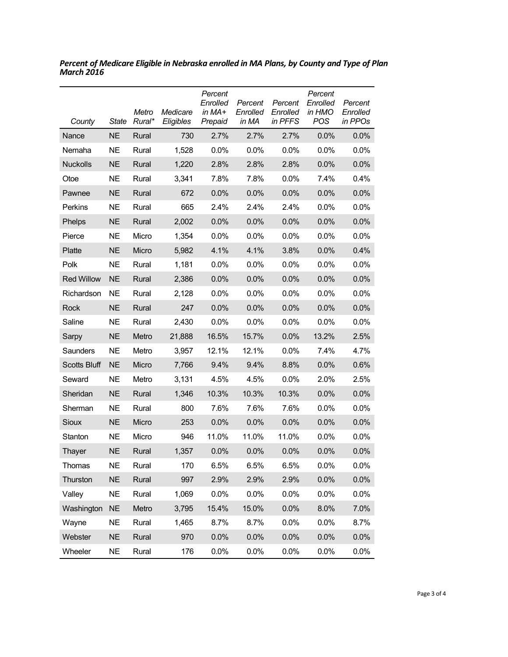| County              | <b>State</b> | Metro<br>Rural* | Medicare<br>Eligibles | Percent<br>Enrolled<br>in MA+<br>Prepaid | Percent<br>Enrolled<br>in MA | Percent<br>Enrolled<br>in PFFS | Percent<br>Enrolled<br>in HMO<br><b>POS</b> | Percent<br>Enrolled<br>in PPOs |
|---------------------|--------------|-----------------|-----------------------|------------------------------------------|------------------------------|--------------------------------|---------------------------------------------|--------------------------------|
| Nance               | <b>NE</b>    | Rural           | 730                   | 2.7%                                     | 2.7%                         | 2.7%                           | 0.0%                                        | 0.0%                           |
| Nemaha              | <b>NE</b>    | Rural           | 1,528                 | 0.0%                                     | 0.0%                         | 0.0%                           | 0.0%                                        | 0.0%                           |
| <b>Nuckolls</b>     | <b>NE</b>    | Rural           | 1,220                 | 2.8%                                     | 2.8%                         | 2.8%                           | 0.0%                                        | 0.0%                           |
| Otoe                | <b>NE</b>    | Rural           | 3,341                 | 7.8%                                     | 7.8%                         | 0.0%                           | 7.4%                                        | 0.4%                           |
| Pawnee              | <b>NE</b>    | Rural           | 672                   | 0.0%                                     | 0.0%                         | 0.0%                           | 0.0%                                        | 0.0%                           |
| Perkins             | <b>NE</b>    | Rural           | 665                   | 2.4%                                     | 2.4%                         | 2.4%                           | 0.0%                                        | 0.0%                           |
| Phelps              | <b>NE</b>    | Rural           | 2,002                 | 0.0%                                     | 0.0%                         | 0.0%                           | 0.0%                                        | 0.0%                           |
| Pierce              | <b>NE</b>    | Micro           | 1,354                 | 0.0%                                     | 0.0%                         | 0.0%                           | 0.0%                                        | 0.0%                           |
| Platte              | <b>NE</b>    | Micro           | 5,982                 | 4.1%                                     | 4.1%                         | 3.8%                           | 0.0%                                        | 0.4%                           |
| Polk                | <b>NE</b>    | Rural           | 1,181                 | 0.0%                                     | 0.0%                         | $0.0\%$                        | 0.0%                                        | 0.0%                           |
| <b>Red Willow</b>   | <b>NE</b>    | Rural           | 2,386                 | 0.0%                                     | 0.0%                         | 0.0%                           | 0.0%                                        | 0.0%                           |
| Richardson          | <b>NE</b>    | Rural           | 2,128                 | 0.0%                                     | 0.0%                         | 0.0%                           | 0.0%                                        | 0.0%                           |
| <b>Rock</b>         | <b>NE</b>    | Rural           | 247                   | 0.0%                                     | 0.0%                         | 0.0%                           | 0.0%                                        | 0.0%                           |
| Saline              | <b>NE</b>    | Rural           | 2,430                 | 0.0%                                     | 0.0%                         | 0.0%                           | 0.0%                                        | 0.0%                           |
| Sarpy               | <b>NE</b>    | Metro           | 21,888                | 16.5%                                    | 15.7%                        | 0.0%                           | 13.2%                                       | 2.5%                           |
| Saunders            | <b>NE</b>    | Metro           | 3,957                 | 12.1%                                    | 12.1%                        | 0.0%                           | 7.4%                                        | 4.7%                           |
| <b>Scotts Bluff</b> | <b>NE</b>    | Micro           | 7,766                 | 9.4%                                     | 9.4%                         | 8.8%                           | 0.0%                                        | 0.6%                           |
| Seward              | <b>NE</b>    | Metro           | 3,131                 | 4.5%                                     | 4.5%                         | 0.0%                           | 2.0%                                        | 2.5%                           |
| Sheridan            | <b>NE</b>    | Rural           | 1,346                 | 10.3%                                    | 10.3%                        | 10.3%                          | 0.0%                                        | 0.0%                           |
| Sherman             | <b>NE</b>    | Rural           | 800                   | 7.6%                                     | 7.6%                         | 7.6%                           | 0.0%                                        | $0.0\%$                        |
| Sioux               | <b>NE</b>    | Micro           | 253                   | 0.0%                                     | 0.0%                         | 0.0%                           | 0.0%                                        | 0.0%                           |
| Stanton             | <b>NE</b>    | Micro           | 946                   | 11.0%                                    | 11.0%                        | 11.0%                          | 0.0%                                        | 0.0%                           |
| Thayer              | <b>NE</b>    | Rural           | 1,357                 | 0.0%                                     | 0.0%                         | 0.0%                           | 0.0%                                        | 0.0%                           |
| Thomas              | <b>NE</b>    | Rural           | 170                   | 6.5%                                     | 6.5%                         | 6.5%                           | 0.0%                                        | 0.0%                           |
| Thurston            | <b>NE</b>    | Rural           | 997                   | 2.9%                                     | 2.9%                         | 2.9%                           | 0.0%                                        | 0.0%                           |
| Valley              | <b>NE</b>    | Rural           | 1,069                 | 0.0%                                     | 0.0%                         | 0.0%                           | 0.0%                                        | $0.0\%$                        |
| Washington          | <b>NE</b>    | Metro           | 3,795                 | 15.4%                                    | 15.0%                        | 0.0%                           | 8.0%                                        | 7.0%                           |
| Wayne               | <b>NE</b>    | Rural           | 1,465                 | 8.7%                                     | 8.7%                         | 0.0%                           | 0.0%                                        | 8.7%                           |
| Webster             | <b>NE</b>    | Rural           | 970                   | 0.0%                                     | 0.0%                         | 0.0%                           | 0.0%                                        | 0.0%                           |
| Wheeler             | <b>NE</b>    | Rural           | 176                   | 0.0%                                     | 0.0%                         | 0.0%                           | 0.0%                                        | 0.0%                           |

*Percent of Medicare Eligible in Nebraska enrolled in MA Plans, by County and Type of Plan March 2016*